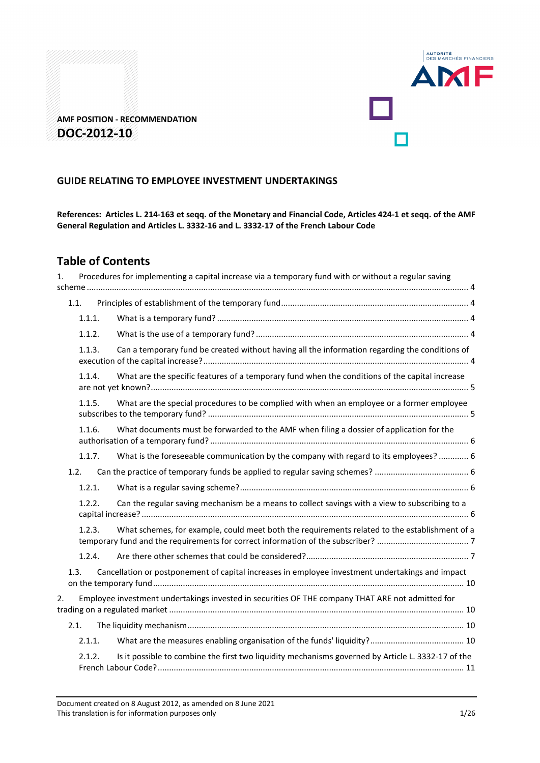

# **AMF POSITION - RECOMMENDATION DOC-2012-10**

## **GUIDE RELATING TO EMPLOYEE INVESTMENT UNDERTAKINGS**

**References: Articles L. 214-163 et seqq. of the Monetary and Financial Code, Articles 424-1 et seqq. of the AMF General Regulation and Articles L. 3332-16 and L. 3332-17 of the French Labour Code** 

# **Table of Contents**

| 1. |        | Procedures for implementing a capital increase via a temporary fund with or without a regular saving |  |
|----|--------|------------------------------------------------------------------------------------------------------|--|
|    | 1.1.   |                                                                                                      |  |
|    | 1.1.1. |                                                                                                      |  |
|    | 1.1.2. |                                                                                                      |  |
|    | 1.1.3. | Can a temporary fund be created without having all the information regarding the conditions of       |  |
|    | 1.1.4. | What are the specific features of a temporary fund when the conditions of the capital increase       |  |
|    | 1.1.5. | What are the special procedures to be complied with when an employee or a former employee            |  |
|    | 1.1.6. | What documents must be forwarded to the AMF when filing a dossier of application for the             |  |
|    | 1.1.7. | What is the foreseeable communication by the company with regard to its employees?  6                |  |
|    | 1.2.   |                                                                                                      |  |
|    | 1.2.1. |                                                                                                      |  |
|    | 1.2.2. | Can the regular saving mechanism be a means to collect savings with a view to subscribing to a       |  |
|    | 1.2.3. | What schemes, for example, could meet both the requirements related to the establishment of a        |  |
|    | 1.2.4. |                                                                                                      |  |
|    | 1.3.   | Cancellation or postponement of capital increases in employee investment undertakings and impact     |  |
| 2. |        | Employee investment undertakings invested in securities OF THE company THAT ARE not admitted for     |  |
|    | 2.1.   |                                                                                                      |  |
|    | 2.1.1. |                                                                                                      |  |
|    | 2.1.2. | Is it possible to combine the first two liquidity mechanisms governed by Article L. 3332-17 of the   |  |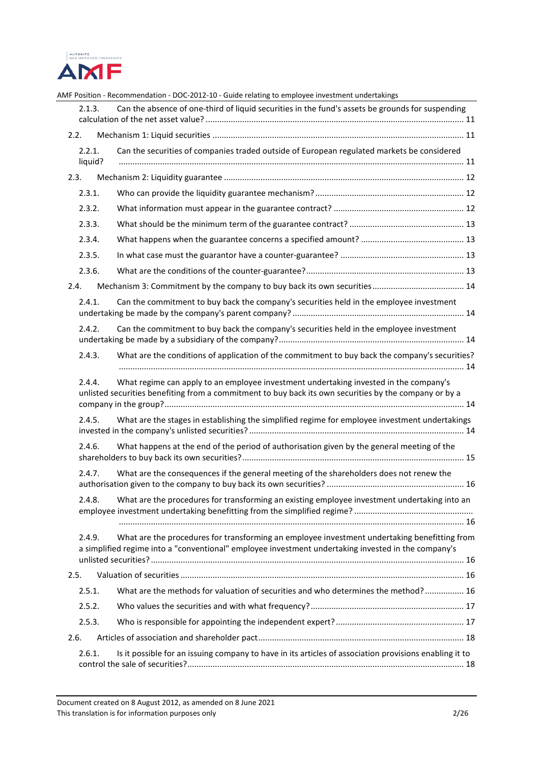

|                   | AMF Position - Recommendation - DOC-2012-10 - Guide relating to employee investment undertakings                                                                                                    |
|-------------------|-----------------------------------------------------------------------------------------------------------------------------------------------------------------------------------------------------|
| 2.1.3.            | Can the absence of one-third of liquid securities in the fund's assets be grounds for suspending                                                                                                    |
| 2.2.              |                                                                                                                                                                                                     |
| 2.2.1.<br>liquid? | Can the securities of companies traded outside of European regulated markets be considered                                                                                                          |
| 2.3.              |                                                                                                                                                                                                     |
| 2.3.1.            |                                                                                                                                                                                                     |
| 2.3.2.            |                                                                                                                                                                                                     |
| 2.3.3.            |                                                                                                                                                                                                     |
| 2.3.4.            |                                                                                                                                                                                                     |
| 2.3.5.            |                                                                                                                                                                                                     |
| 2.3.6.            |                                                                                                                                                                                                     |
| 2.4.              |                                                                                                                                                                                                     |
| 2.4.1.            | Can the commitment to buy back the company's securities held in the employee investment                                                                                                             |
| 2.4.2.            | Can the commitment to buy back the company's securities held in the employee investment                                                                                                             |
| 2.4.3.            | What are the conditions of application of the commitment to buy back the company's securities?                                                                                                      |
| 2.4.4.            | What regime can apply to an employee investment undertaking invested in the company's<br>unlisted securities benefiting from a commitment to buy back its own securities by the company or by a     |
| 2.4.5.            | What are the stages in establishing the simplified regime for employee investment undertakings                                                                                                      |
| 2.4.6.            | What happens at the end of the period of authorisation given by the general meeting of the                                                                                                          |
| 2.4.7.            | What are the consequences if the general meeting of the shareholders does not renew the                                                                                                             |
| 2.4.8.            | What are the procedures for transforming an existing employee investment undertaking into an                                                                                                        |
| 2.4.9.            | What are the procedures for transforming an employee investment undertaking benefitting from<br>a simplified regime into a "conventional" employee investment undertaking invested in the company's |
| 2.5.              |                                                                                                                                                                                                     |
| 2.5.1.            | What are the methods for valuation of securities and who determines the method? 16                                                                                                                  |
| 2.5.2.            |                                                                                                                                                                                                     |
| 2.5.3.            |                                                                                                                                                                                                     |
| 2.6.              |                                                                                                                                                                                                     |
| 2.6.1.            | Is it possible for an issuing company to have in its articles of association provisions enabling it to                                                                                              |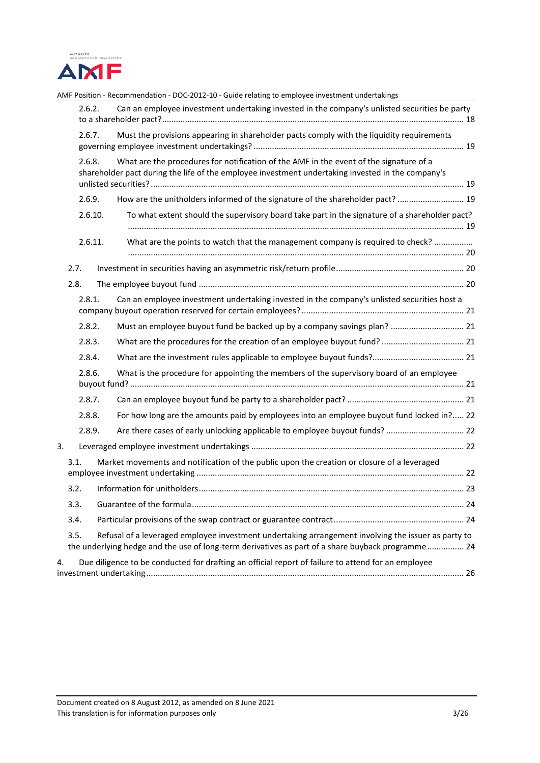

|      |         | AMF Position - Recommendation - DOC-2012-10 - Guide relating to employee investment undertakings                                                                                                         |  |
|------|---------|----------------------------------------------------------------------------------------------------------------------------------------------------------------------------------------------------------|--|
|      | 2.6.2.  | Can an employee investment undertaking invested in the company's unlisted securities be party                                                                                                            |  |
|      | 2.6.7.  | Must the provisions appearing in shareholder pacts comply with the liquidity requirements                                                                                                                |  |
|      | 2.6.8.  | What are the procedures for notification of the AMF in the event of the signature of a<br>shareholder pact during the life of the employee investment undertaking invested in the company's              |  |
|      | 2.6.9.  | How are the unitholders informed of the signature of the shareholder pact?  19                                                                                                                           |  |
|      | 2.6.10. | To what extent should the supervisory board take part in the signature of a shareholder pact?                                                                                                            |  |
|      | 2.6.11. | What are the points to watch that the management company is required to check?                                                                                                                           |  |
| 2.7. |         |                                                                                                                                                                                                          |  |
| 2.8. |         |                                                                                                                                                                                                          |  |
|      | 2.8.1.  | Can an employee investment undertaking invested in the company's unlisted securities host a                                                                                                              |  |
|      | 2.8.2.  | Must an employee buyout fund be backed up by a company savings plan?  21                                                                                                                                 |  |
|      | 2.8.3.  | What are the procedures for the creation of an employee buyout fund?  21                                                                                                                                 |  |
|      | 2.8.4.  |                                                                                                                                                                                                          |  |
|      | 2.8.6.  | What is the procedure for appointing the members of the supervisory board of an employee                                                                                                                 |  |
|      | 2.8.7.  |                                                                                                                                                                                                          |  |
|      | 2.8.8.  | For how long are the amounts paid by employees into an employee buyout fund locked in? 22                                                                                                                |  |
|      | 2.8.9.  | Are there cases of early unlocking applicable to employee buyout funds?  22                                                                                                                              |  |
| 3.   |         |                                                                                                                                                                                                          |  |
| 3.1. |         | Market movements and notification of the public upon the creation or closure of a leveraged                                                                                                              |  |
| 3.2. |         |                                                                                                                                                                                                          |  |
| 3.3. |         |                                                                                                                                                                                                          |  |
| 3.4. |         |                                                                                                                                                                                                          |  |
| 3.5. |         | Refusal of a leveraged employee investment undertaking arrangement involving the issuer as party to<br>the underlying hedge and the use of long-term derivatives as part of a share buyback programme 24 |  |
| 4.   |         | Due diligence to be conducted for drafting an official report of failure to attend for an employee                                                                                                       |  |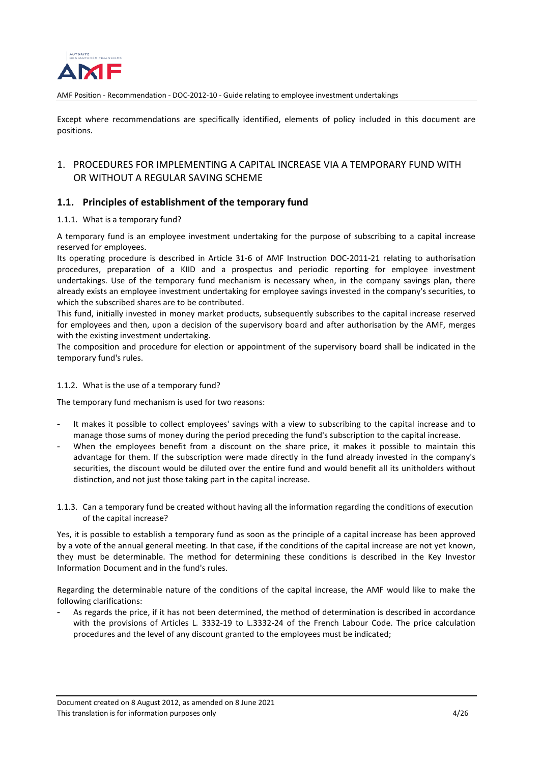

Except where recommendations are specifically identified, elements of policy included in this document are positions.

## <span id="page-3-0"></span>1. PROCEDURES FOR IMPLEMENTING A CAPITAL INCREASE VIA A TEMPORARY FUND WITH OR WITHOUT A REGULAR SAVING SCHEME

## <span id="page-3-1"></span>**1.1. Principles of establishment of the temporary fund**

### <span id="page-3-2"></span>1.1.1. What is a temporary fund?

A temporary fund is an employee investment undertaking for the purpose of subscribing to a capital increase reserved for employees.

Its operating procedure is described in Article 31-6 of AMF Instruction DOC-2011-21 relating to authorisation procedures, preparation of a KIID and a prospectus and periodic reporting for employee investment undertakings. Use of the temporary fund mechanism is necessary when, in the company savings plan, there already exists an employee investment undertaking for employee savings invested in the company's securities, to which the subscribed shares are to be contributed.

This fund, initially invested in money market products, subsequently subscribes to the capital increase reserved for employees and then, upon a decision of the supervisory board and after authorisation by the AMF, merges with the existing investment undertaking.

The composition and procedure for election or appointment of the supervisory board shall be indicated in the temporary fund's rules.

### <span id="page-3-3"></span>1.1.2. What is the use of a temporary fund?

The temporary fund mechanism is used for two reasons:

- It makes it possible to collect employees' savings with a view to subscribing to the capital increase and to manage those sums of money during the period preceding the fund's subscription to the capital increase.
- When the employees benefit from a discount on the share price, it makes it possible to maintain this advantage for them. If the subscription were made directly in the fund already invested in the company's securities, the discount would be diluted over the entire fund and would benefit all its unitholders without distinction, and not just those taking part in the capital increase.
- <span id="page-3-4"></span>1.1.3. Can a temporary fund be created without having all the information regarding the conditions of execution of the capital increase?

Yes, it is possible to establish a temporary fund as soon as the principle of a capital increase has been approved by a vote of the annual general meeting. In that case, if the conditions of the capital increase are not yet known, they must be determinable. The method for determining these conditions is described in the Key Investor Information Document and in the fund's rules.

Regarding the determinable nature of the conditions of the capital increase, the AMF would like to make the following clarifications:

As regards the price, if it has not been determined, the method of determination is described in accordance with the provisions of Articles L. 3332-19 to L.3332-24 of the French Labour Code. The price calculation procedures and the level of any discount granted to the employees must be indicated;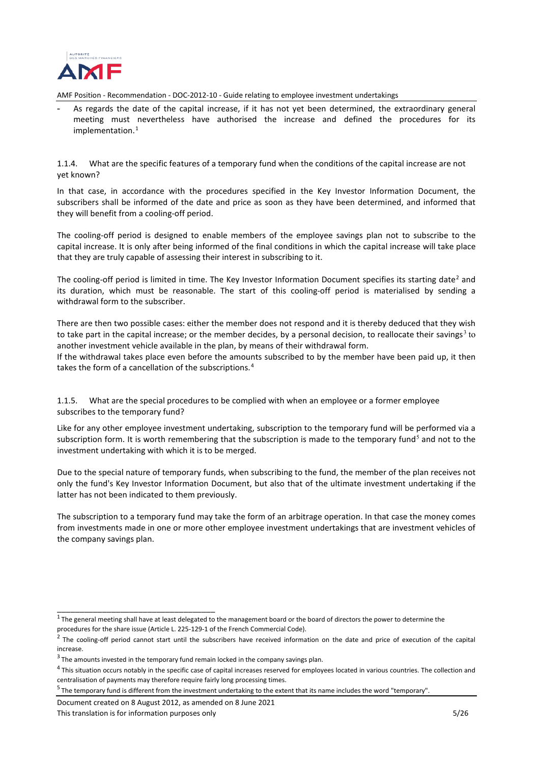

As regards the date of the capital increase, if it has not yet been determined, the extraordinary general meeting must nevertheless have authorised the increase and defined the procedures for its implementation. [1](#page-4-2)

<span id="page-4-0"></span>1.1.4. What are the specific features of a temporary fund when the conditions of the capital increase are not yet known?

In that case, in accordance with the procedures specified in the Key Investor Information Document, the subscribers shall be informed of the date and price as soon as they have been determined, and informed that they will benefit from a cooling-off period.

The cooling-off period is designed to enable members of the employee savings plan not to subscribe to the capital increase. It is only after being informed of the final conditions in which the capital increase will take place that they are truly capable of assessing their interest in subscribing to it.

The cooling-off period is limited in time. The Key Investor Information Document specifies its starting date<sup>[2](#page-4-3)</sup> and its duration, which must be reasonable. The start of this cooling-off period is materialised by sending a withdrawal form to the subscriber.

There are then two possible cases: either the member does not respond and it is thereby deduced that they wish to take part in the capital increase; or the member decides, by a personal decision, to reallocate their savings<sup>[3](#page-4-4)</sup> to another investment vehicle available in the plan, by means of their withdrawal form.

If the withdrawal takes place even before the amounts subscribed to by the member have been paid up, it then takes the form of a cancellation of the subscriptions. [4](#page-4-5)

<span id="page-4-1"></span>1.1.5. What are the special procedures to be complied with when an employee or a former employee subscribes to the temporary fund?

Like for any other employee investment undertaking, subscription to the temporary fund will be performed via a subscription form. It is worth remembering that the subscription is made to the temporary fund<sup>[5](#page-4-6)</sup> and not to the investment undertaking with which it is to be merged.

Due to the special nature of temporary funds, when subscribing to the fund, the member of the plan receives not only the fund's Key Investor Information Document, but also that of the ultimate investment undertaking if the latter has not been indicated to them previously.

The subscription to a temporary fund may take the form of an arbitrage operation. In that case the money comes from investments made in one or more other employee investment undertakings that are investment vehicles of the company savings plan.

<span id="page-4-2"></span>\_\_\_\_\_\_\_\_\_\_\_\_\_\_\_\_\_\_\_\_\_\_\_\_\_\_\_\_\_\_\_\_\_\_\_

 $1$ The general meeting shall have at least delegated to the management board or the board of directors the power to determine the procedures for the share issue (Article L. 225-129-1 of the French Commercial Code).

<span id="page-4-3"></span> $2$  The cooling-off period cannot start until the subscribers have received information on the date and price of execution of the capital increase.

<span id="page-4-4"></span><sup>&</sup>lt;sup>3</sup> The amounts invested in the temporary fund remain locked in the company savings plan.

<span id="page-4-5"></span><sup>&</sup>lt;sup>4</sup> This situation occurs notably in the specific case of capital increases reserved for employees located in various countries. The collection and centralisation of payments may therefore require fairly long processing times.

<span id="page-4-6"></span> $5$  The temporary fund is different from the investment undertaking to the extent that its name includes the word "temporary".

Document created on 8 August 2012, as amended on 8 June 2021 This translation is for information purposes only 5/26 Second purposes on  $5/26$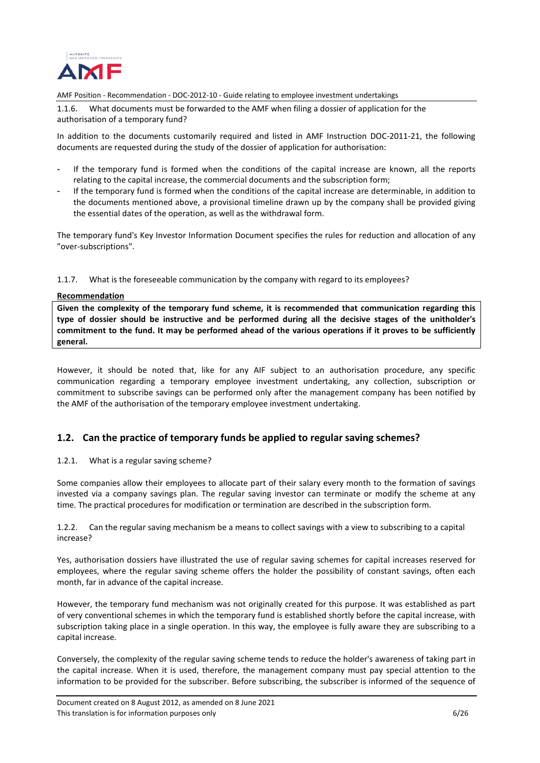

<span id="page-5-0"></span>1.1.6. What documents must be forwarded to the AMF when filing a dossier of application for the authorisation of a temporary fund?

In addition to the documents customarily required and listed in AMF Instruction DOC-2011-21, the following documents are requested during the study of the dossier of application for authorisation:

- If the temporary fund is formed when the conditions of the capital increase are known, all the reports relating to the capital increase, the commercial documents and the subscription form;
- If the temporary fund is formed when the conditions of the capital increase are determinable, in addition to the documents mentioned above, a provisional timeline drawn up by the company shall be provided giving the essential dates of the operation, as well as the withdrawal form.

The temporary fund's Key Investor Information Document specifies the rules for reduction and allocation of any "over-subscriptions".

### <span id="page-5-1"></span>1.1.7. What is the foreseeable communication by the company with regard to its employees?

### **Recommendation**

**Given the complexity of the temporary fund scheme, it is recommended that communication regarding this type of dossier should be instructive and be performed during all the decisive stages of the unitholder's commitment to the fund. It may be performed ahead of the various operations if it proves to be sufficiently general.**

However, it should be noted that, like for any AIF subject to an authorisation procedure, any specific communication regarding a temporary employee investment undertaking, any collection, subscription or commitment to subscribe savings can be performed only after the management company has been notified by the AMF of the authorisation of the temporary employee investment undertaking.

## <span id="page-5-2"></span>**1.2. Can the practice of temporary funds be applied to regular saving schemes?**

### <span id="page-5-3"></span>1.2.1. What is a regular saving scheme?

Some companies allow their employees to allocate part of their salary every month to the formation of savings invested via a company savings plan. The regular saving investor can terminate or modify the scheme at any time. The practical procedures for modification or termination are described in the subscription form.

<span id="page-5-4"></span>1.2.2. Can the regular saving mechanism be a means to collect savings with a view to subscribing to a capital increase?

Yes, authorisation dossiers have illustrated the use of regular saving schemes for capital increases reserved for employees, where the regular saving scheme offers the holder the possibility of constant savings, often each month, far in advance of the capital increase.

However, the temporary fund mechanism was not originally created for this purpose. It was established as part of very conventional schemes in which the temporary fund is established shortly before the capital increase, with subscription taking place in a single operation. In this way, the employee is fully aware they are subscribing to a capital increase.

Conversely, the complexity of the regular saving scheme tends to reduce the holder's awareness of taking part in the capital increase. When it is used, therefore, the management company must pay special attention to the information to be provided for the subscriber. Before subscribing, the subscriber is informed of the sequence of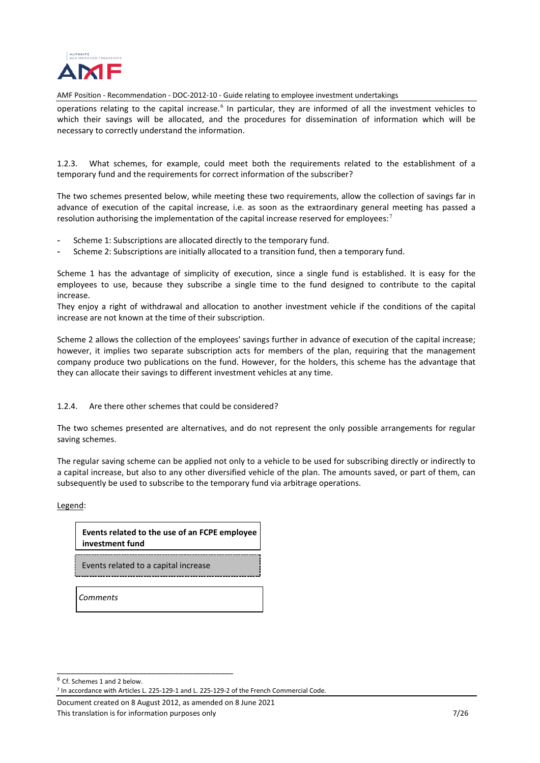

operations relating to the capital increase.<sup>[6](#page-6-2)</sup> In particular, they are informed of all the investment vehicles to which their savings will be allocated, and the procedures for dissemination of information which will be necessary to correctly understand the information.

<span id="page-6-0"></span>1.2.3. What schemes, for example, could meet both the requirements related to the establishment of a temporary fund and the requirements for correct information of the subscriber?

The two schemes presented below, while meeting these two requirements, allow the collection of savings far in advance of execution of the capital increase, i.e. as soon as the extraordinary general meeting has passed a resolution authorising the implementation of the capital increase reserved for employees:<sup>[7](#page-6-3)</sup>

- Scheme 1: Subscriptions are allocated directly to the temporary fund.
- Scheme 2: Subscriptions are initially allocated to a transition fund, then a temporary fund.

Scheme 1 has the advantage of simplicity of execution, since a single fund is established. It is easy for the employees to use, because they subscribe a single time to the fund designed to contribute to the capital increase.

They enjoy a right of withdrawal and allocation to another investment vehicle if the conditions of the capital increase are not known at the time of their subscription.

Scheme 2 allows the collection of the employees' savings further in advance of execution of the capital increase; however, it implies two separate subscription acts for members of the plan, requiring that the management company produce two publications on the fund. However, for the holders, this scheme has the advantage that they can allocate their savings to different investment vehicles at any time.

### <span id="page-6-1"></span>1.2.4. Are there other schemes that could be considered?

The two schemes presented are alternatives, and do not represent the only possible arrangements for regular saving schemes.

The regular saving scheme can be applied not only to a vehicle to be used for subscribing directly or indirectly to a capital increase, but also to any other diversified vehicle of the plan. The amounts saved, or part of them, can subsequently be used to subscribe to the temporary fund via arbitrage operations.

Legend:

**Events related to the use of an FCPE employee investment fund**

Events related to a capital increase

<span id="page-6-2"></span>\_\_\_\_\_\_\_\_\_\_\_\_\_\_\_\_\_\_\_\_\_\_\_\_\_\_\_\_\_\_\_\_\_\_\_\_\_\_\_

*Comments*

Document created on 8 August 2012, as amended on 8 June 2021 This translation is for information purposes only The Community Community Community Community Community Community Community Community Community Community Community Community Community Community Community Community Communit

 $\overline{6}$  Cf. Schemes 1 and 2 below.

<span id="page-6-3"></span><sup>7</sup> In accordance with Articles L. 225-129-1 and L. 225-129-2 of the French Commercial Code.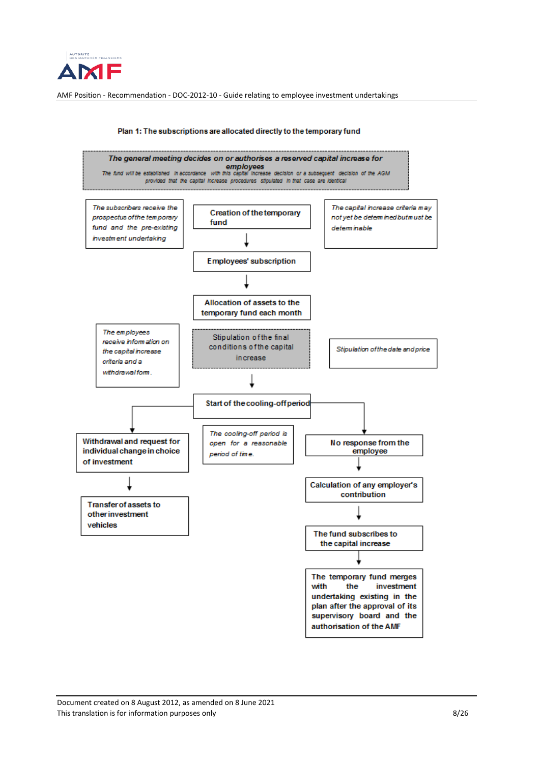



#### Plan 1: The subscriptions are allocated directly to the temporary fund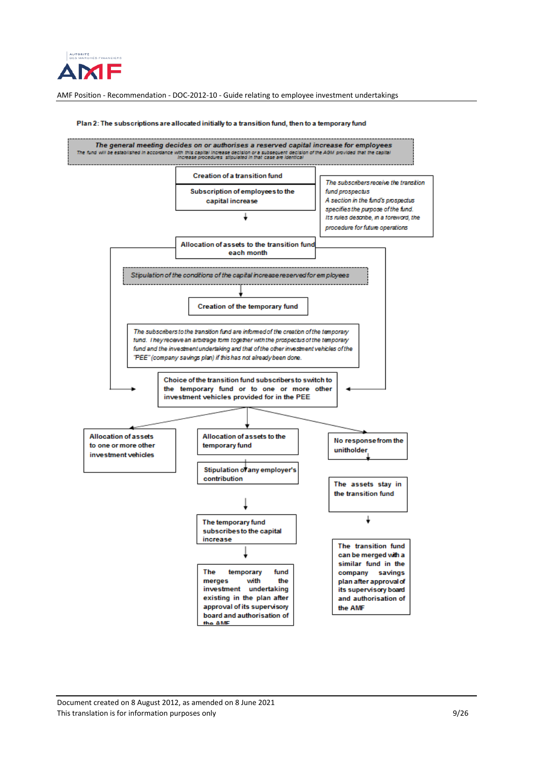

#### The general meeting decides on or authorises a reserved capital increase for employees .<br>The fund will be established in accordance with this capital increase decision or a subsequent decision of the AGM provided that the ca<br>Increase procedures, stipulated in that case are identical **Creation of a transition fund** The subscribers receive the transition Subscription of employees to the fund prospectus capital increase A section in the fund's prospectus specifies the purpose of the fund.  $\perp$ Its rules describe, in a foreword, the procedure for future operations Allocation of assets to the transition fund each month Stipulation of the conditions of the capital increase reserved for employees <u> 1999 - Johann Barbara, m</u> Creation of the temporary fund The subscribers to the transition fund are informed of the creation of the temporary tund. They receive an arbitrage torm together with the prospectus of the temporary fund and the investment undertaking and that of the other investment vehicles of the 'PEE" (company savings plan) if this has not already been done. Choice of the transition fund subscribers to switch to the temporary fund or to one or more other investment vehicles provided for in the PEE **Allocation of assets** Allocation of assets to the No response from the to one or more other temporary fund unitholder investment vehicles Stipulation of any employer's contribution The assets stay in the transition fund J, The temporary fund subscribes to the capital increase The transition fund can be merged with a similar fund in the The temporary fund company savings merges with the plan after approval of investment undertaking its supervisory board existing in the plan after and authorisation of approval of its supervisory the AMF board and authorisation of the AMF

#### Plan 2: The subscriptions are allocated initially to a transition fund, then to a temporary fund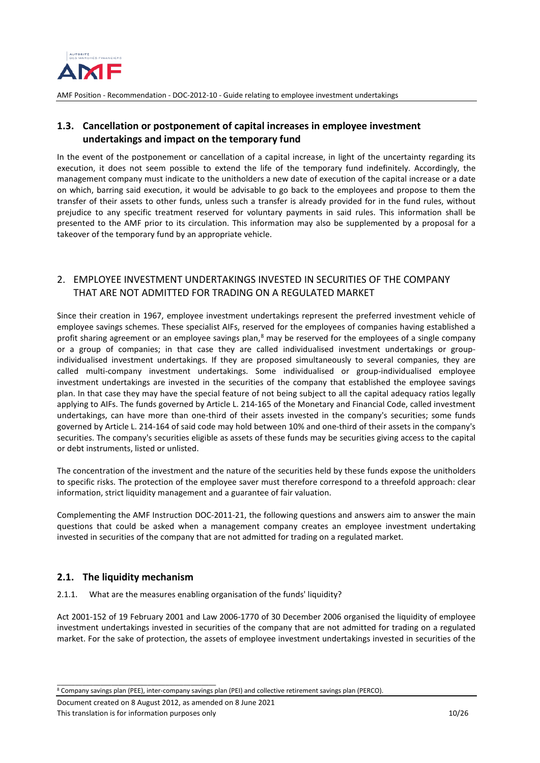

## <span id="page-9-0"></span>**1.3. Cancellation or postponement of capital increases in employee investment undertakings and impact on the temporary fund**

In the event of the postponement or cancellation of a capital increase, in light of the uncertainty regarding its execution, it does not seem possible to extend the life of the temporary fund indefinitely. Accordingly, the management company must indicate to the unitholders a new date of execution of the capital increase or a date on which, barring said execution, it would be advisable to go back to the employees and propose to them the transfer of their assets to other funds, unless such a transfer is already provided for in the fund rules, without prejudice to any specific treatment reserved for voluntary payments in said rules. This information shall be presented to the AMF prior to its circulation. This information may also be supplemented by a proposal for a takeover of the temporary fund by an appropriate vehicle.

## <span id="page-9-1"></span>2. EMPLOYEE INVESTMENT UNDERTAKINGS INVESTED IN SECURITIES OF THE COMPANY THAT ARE NOT ADMITTED FOR TRADING ON A REGULATED MARKET

Since their creation in 1967, employee investment undertakings represent the preferred investment vehicle of employee savings schemes. These specialist AIFs, reserved for the employees of companies having established a profit sharing agreement or an employee savings plan,<sup>[8](#page-9-4)</sup> may be reserved for the employees of a single company or a group of companies; in that case they are called individualised investment undertakings or groupindividualised investment undertakings. If they are proposed simultaneously to several companies, they are called multi-company investment undertakings. Some individualised or group-individualised employee investment undertakings are invested in the securities of the company that established the employee savings plan. In that case they may have the special feature of not being subject to all the capital adequacy ratios legally applying to AIFs. The funds governed by Article L. 214-165 of the Monetary and Financial Code, called investment undertakings, can have more than one-third of their assets invested in the company's securities; some funds governed by Article L. 214-164 of said code may hold between 10% and one-third of their assets in the company's securities. The company's securities eligible as assets of these funds may be securities giving access to the capital or debt instruments, listed or unlisted.

The concentration of the investment and the nature of the securities held by these funds expose the unitholders to specific risks. The protection of the employee saver must therefore correspond to a threefold approach: clear information, strict liquidity management and a guarantee of fair valuation.

Complementing the AMF Instruction DOC-2011-21, the following questions and answers aim to answer the main questions that could be asked when a management company creates an employee investment undertaking invested in securities of the company that are not admitted for trading on a regulated market.

## <span id="page-9-2"></span>**2.1. The liquidity mechanism**

\_\_\_\_\_\_\_\_\_\_\_\_\_\_\_\_\_\_\_\_\_\_\_\_\_\_\_\_\_\_\_\_\_\_\_\_\_\_\_\_\_\_\_\_

<span id="page-9-3"></span>2.1.1. What are the measures enabling organisation of the funds' liquidity?

Act 2001-152 of 19 February 2001 and Law 2006-1770 of 30 December 2006 organised the liquidity of employee investment undertakings invested in securities of the company that are not admitted for trading on a regulated market. For the sake of protection, the assets of employee investment undertakings invested in securities of the

<span id="page-9-4"></span><sup>8</sup> Company savings plan (PEE), inter-company savings plan (PEI) and collective retirement savings plan (PERCO).

Document created on 8 August 2012, as amended on 8 June 2021 This translation is for information purposes only 10/26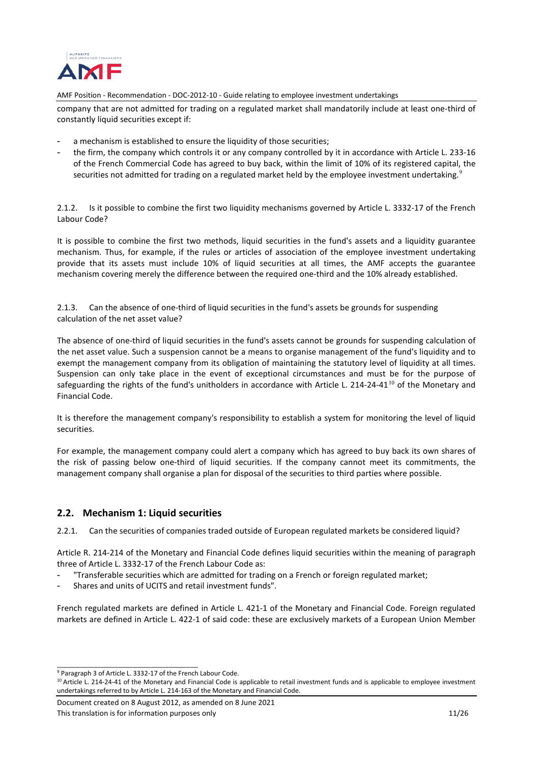

company that are not admitted for trading on a regulated market shall mandatorily include at least one-third of constantly liquid securities except if:

- a mechanism is established to ensure the liquidity of those securities;
- the firm, the company which controls it or any company controlled by it in accordance with Article L. 233-16 of the French Commercial Code has agreed to buy back, within the limit of 10% of its registered capital, the securities not admitted for trading on a regulated market held by the employee investment undertaking.<sup>[9](#page-10-4)</sup>

<span id="page-10-0"></span>2.1.2. Is it possible to combine the first two liquidity mechanisms governed by Article L. 3332-17 of the French Labour Code?

It is possible to combine the first two methods, liquid securities in the fund's assets and a liquidity guarantee mechanism. Thus, for example, if the rules or articles of association of the employee investment undertaking provide that its assets must include 10% of liquid securities at all times, the AMF accepts the guarantee mechanism covering merely the difference between the required one-third and the 10% already established.

<span id="page-10-1"></span>2.1.3. Can the absence of one-third of liquid securities in the fund's assets be grounds for suspending calculation of the net asset value?

The absence of one-third of liquid securities in the fund's assets cannot be grounds for suspending calculation of the net asset value. Such a suspension cannot be a means to organise management of the fund's liquidity and to exempt the management company from its obligation of maintaining the statutory level of liquidity at all times. Suspension can only take place in the event of exceptional circumstances and must be for the purpose of safeguarding the rights of the fund's unitholders in accordance with Article L. 214-24-41<sup>[10](#page-10-5)</sup> of the Monetary and Financial Code.

It is therefore the management company's responsibility to establish a system for monitoring the level of liquid securities.

For example, the management company could alert a company which has agreed to buy back its own shares of the risk of passing below one-third of liquid securities. If the company cannot meet its commitments, the management company shall organise a plan for disposal of the securities to third parties where possible.

## <span id="page-10-2"></span>**2.2. Mechanism 1: Liquid securities**

<span id="page-10-3"></span>2.2.1. Can the securities of companies traded outside of European regulated markets be considered liquid?

Article R. 214-214 of the Monetary and Financial Code defines liquid securities within the meaning of paragraph three of Article L. 3332-17 of the French Labour Code as:

- "Transferable securities which are admitted for trading on a French or foreign regulated market;
- Shares and units of UCITS and retail investment funds".

French regulated markets are defined in Article L. 421-1 of the Monetary and Financial Code. Foreign regulated markets are defined in Article L. 422-1 of said code: these are exclusively markets of a European Union Member

<span id="page-10-4"></span>\_\_\_\_\_\_\_\_\_\_\_\_\_\_\_\_\_\_\_\_\_\_\_\_\_\_\_\_\_\_\_\_\_\_\_\_\_\_\_ <sup>9</sup> Paragraph 3 of Article L. 3332-17 of the French Labour Code.

<span id="page-10-5"></span> $10$  Article L. 214-24-41 of the Monetary and Financial Code is applicable to retail investment funds and is applicable to employee investment undertakings referred to by Article L. 214-163 of the Monetary and Financial Code.

Document created on 8 August 2012, as amended on 8 June 2021 This translation is for information purposes only 11/26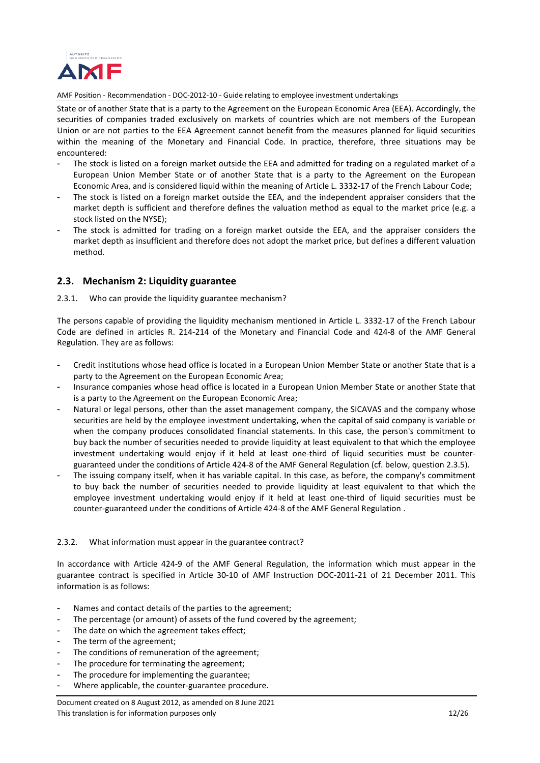

State or of another State that is a party to the Agreement on the European Economic Area (EEA). Accordingly, the securities of companies traded exclusively on markets of countries which are not members of the European Union or are not parties to the EEA Agreement cannot benefit from the measures planned for liquid securities within the meaning of the Monetary and Financial Code. In practice, therefore, three situations may be encountered:

- The stock is listed on a foreign market outside the EEA and admitted for trading on a regulated market of a European Union Member State or of another State that is a party to the Agreement on the European Economic Area, and is considered liquid within the meaning of Article L. 3332-17 of the French Labour Code;
- The stock is listed on a foreign market outside the EEA, and the independent appraiser considers that the market depth is sufficient and therefore defines the valuation method as equal to the market price (e.g. a stock listed on the NYSE);
- The stock is admitted for trading on a foreign market outside the EEA, and the appraiser considers the market depth as insufficient and therefore does not adopt the market price, but defines a different valuation method.

## <span id="page-11-0"></span>**2.3. Mechanism 2: Liquidity guarantee**

## <span id="page-11-1"></span>2.3.1. Who can provide the liquidity guarantee mechanism?

The persons capable of providing the liquidity mechanism mentioned in Article L. 3332-17 of the French Labour Code are defined in articles R. 214-214 of the Monetary and Financial Code and 424-8 of the AMF General Regulation. They are as follows:

- Credit institutions whose head office is located in a European Union Member State or another State that is a party to the Agreement on the European Economic Area;
- Insurance companies whose head office is located in a European Union Member State or another State that is a party to the Agreement on the European Economic Area;
- Natural or legal persons, other than the asset management company, the SICAVAS and the company whose securities are held by the employee investment undertaking, when the capital of said company is variable or when the company produces consolidated financial statements. In this case, the person's commitment to buy back the number of securities needed to provide liquidity at least equivalent to that which the employee investment undertaking would enjoy if it held at least one-third of liquid securities must be counterguaranteed under the conditions of Article 424-8 of the AMF General Regulation (cf. below, question 2.3.5).
- The issuing company itself, when it has variable capital. In this case, as before, the company's commitment to buy back the number of securities needed to provide liquidity at least equivalent to that which the employee investment undertaking would enjoy if it held at least one-third of liquid securities must be counter-guaranteed under the conditions of Article 424-8 of the AMF General Regulation .

### <span id="page-11-2"></span>2.3.2. What information must appear in the guarantee contract?

In accordance with Article 424-9 of the AMF General Regulation, the information which must appear in the guarantee contract is specified in Article 30-10 of AMF Instruction DOC-2011-21 of 21 December 2011. This information is as follows:

- Names and contact details of the parties to the agreement;
- The percentage (or amount) of assets of the fund covered by the agreement;
- The date on which the agreement takes effect;
- The term of the agreement;
- The conditions of remuneration of the agreement;
- The procedure for terminating the agreement;
- The procedure for implementing the guarantee;
- Where applicable, the counter-guarantee procedure.

### Document created on 8 August 2012, as amended on 8 June 2021 This translation is for information purposes only 12/26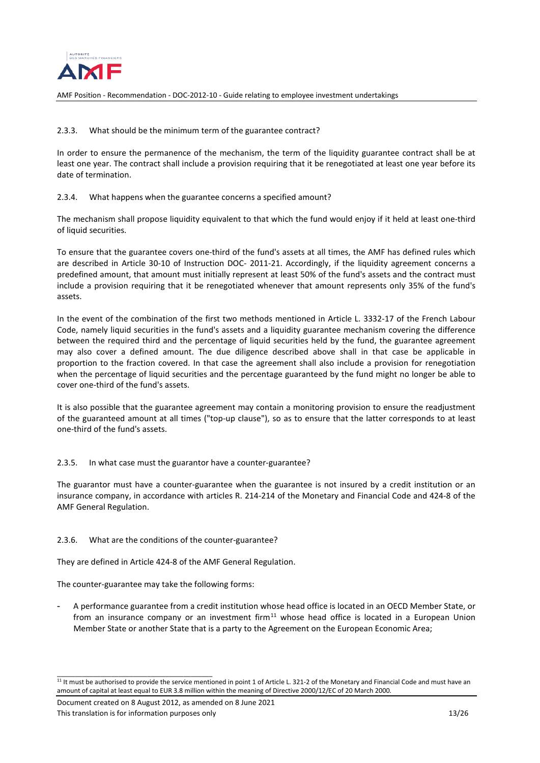

## <span id="page-12-0"></span>2.3.3. What should be the minimum term of the guarantee contract?

In order to ensure the permanence of the mechanism, the term of the liquidity guarantee contract shall be at least one year. The contract shall include a provision requiring that it be renegotiated at least one year before its date of termination.

## <span id="page-12-1"></span>2.3.4. What happens when the guarantee concerns a specified amount?

The mechanism shall propose liquidity equivalent to that which the fund would enjoy if it held at least one-third of liquid securities.

To ensure that the guarantee covers one-third of the fund's assets at all times, the AMF has defined rules which are described in Article 30-10 of Instruction DOC- 2011-21. Accordingly, if the liquidity agreement concerns a predefined amount, that amount must initially represent at least 50% of the fund's assets and the contract must include a provision requiring that it be renegotiated whenever that amount represents only 35% of the fund's assets.

In the event of the combination of the first two methods mentioned in Article L. 3332-17 of the French Labour Code, namely liquid securities in the fund's assets and a liquidity guarantee mechanism covering the difference between the required third and the percentage of liquid securities held by the fund, the guarantee agreement may also cover a defined amount. The due diligence described above shall in that case be applicable in proportion to the fraction covered. In that case the agreement shall also include a provision for renegotiation when the percentage of liquid securities and the percentage guaranteed by the fund might no longer be able to cover one-third of the fund's assets.

It is also possible that the guarantee agreement may contain a monitoring provision to ensure the readjustment of the guaranteed amount at all times ("top-up clause"), so as to ensure that the latter corresponds to at least one-third of the fund's assets.

### <span id="page-12-2"></span>2.3.5. In what case must the guarantor have a counter-guarantee?

The guarantor must have a counter-guarantee when the guarantee is not insured by a credit institution or an insurance company, in accordance with articles R. 214-214 of the Monetary and Financial Code and 424-8 of the AMF General Regulation.

### <span id="page-12-3"></span>2.3.6. What are the conditions of the counter-guarantee?

They are defined in Article 424-8 of the AMF General Regulation.

The counter-guarantee may take the following forms:

- A performance guarantee from a credit institution whose head office is located in an OECD Member State, or from an insurance company or an investment firm $11$  whose head office is located in a European Union Member State or another State that is a party to the Agreement on the European Economic Area;

\_\_\_\_\_\_\_\_\_\_\_\_\_\_\_\_\_\_\_\_\_\_\_\_\_\_\_\_\_\_\_\_\_\_\_\_\_\_\_\_\_\_\_

<span id="page-12-4"></span> $11$  It must be authorised to provide the service mentioned in point 1 of Article L. 321-2 of the Monetary and Financial Code and must have an amount of capital at least equal to EUR 3.8 million within the meaning of Directive 2000/12/EC of 20 March 2000.

Document created on 8 August 2012, as amended on 8 June 2021 This translation is for information purposes only 13/26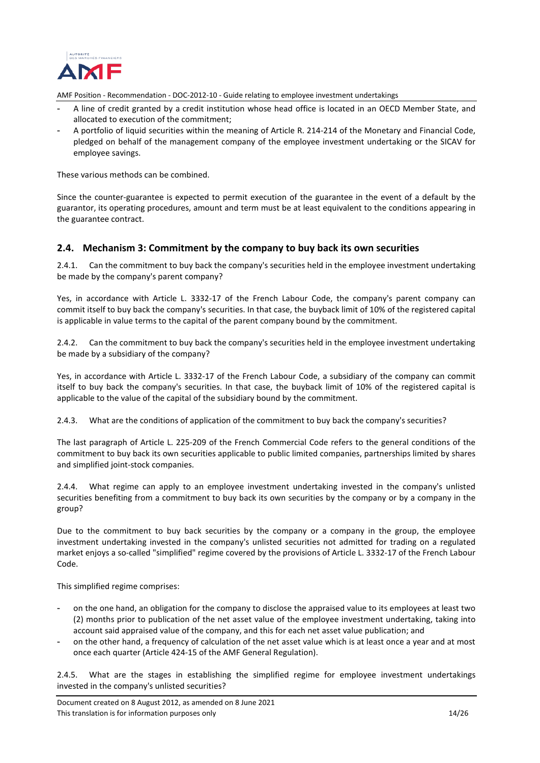

- A line of credit granted by a credit institution whose head office is located in an OECD Member State, and allocated to execution of the commitment;
- A portfolio of liquid securities within the meaning of Article R. 214-214 of the Monetary and Financial Code, pledged on behalf of the management company of the employee investment undertaking or the SICAV for employee savings.

These various methods can be combined.

Since the counter-guarantee is expected to permit execution of the guarantee in the event of a default by the guarantor, its operating procedures, amount and term must be at least equivalent to the conditions appearing in the guarantee contract.

## <span id="page-13-0"></span>**2.4. Mechanism 3: Commitment by the company to buy back its own securities**

<span id="page-13-1"></span>2.4.1. Can the commitment to buy back the company's securities held in the employee investment undertaking be made by the company's parent company?

Yes, in accordance with Article L. 3332-17 of the French Labour Code, the company's parent company can commit itself to buy back the company's securities. In that case, the buyback limit of 10% of the registered capital is applicable in value terms to the capital of the parent company bound by the commitment.

<span id="page-13-2"></span>2.4.2. Can the commitment to buy back the company's securities held in the employee investment undertaking be made by a subsidiary of the company?

Yes, in accordance with Article L. 3332-17 of the French Labour Code, a subsidiary of the company can commit itself to buy back the company's securities. In that case, the buyback limit of 10% of the registered capital is applicable to the value of the capital of the subsidiary bound by the commitment.

<span id="page-13-3"></span>2.4.3. What are the conditions of application of the commitment to buy back the company's securities?

The last paragraph of Article L. 225-209 of the French Commercial Code refers to the general conditions of the commitment to buy back its own securities applicable to public limited companies, partnerships limited by shares and simplified joint-stock companies.

<span id="page-13-4"></span>2.4.4. What regime can apply to an employee investment undertaking invested in the company's unlisted securities benefiting from a commitment to buy back its own securities by the company or by a company in the group?

Due to the commitment to buy back securities by the company or a company in the group, the employee investment undertaking invested in the company's unlisted securities not admitted for trading on a regulated market enjoys a so-called "simplified" regime covered by the provisions of Article L. 3332-17 of the French Labour Code.

This simplified regime comprises:

- on the one hand, an obligation for the company to disclose the appraised value to its employees at least two (2) months prior to publication of the net asset value of the employee investment undertaking, taking into account said appraised value of the company, and this for each net asset value publication; and
- on the other hand, a frequency of calculation of the net asset value which is at least once a year and at most once each quarter (Article 424-15 of the AMF General Regulation).

<span id="page-13-5"></span>2.4.5. What are the stages in establishing the simplified regime for employee investment undertakings invested in the company's unlisted securities?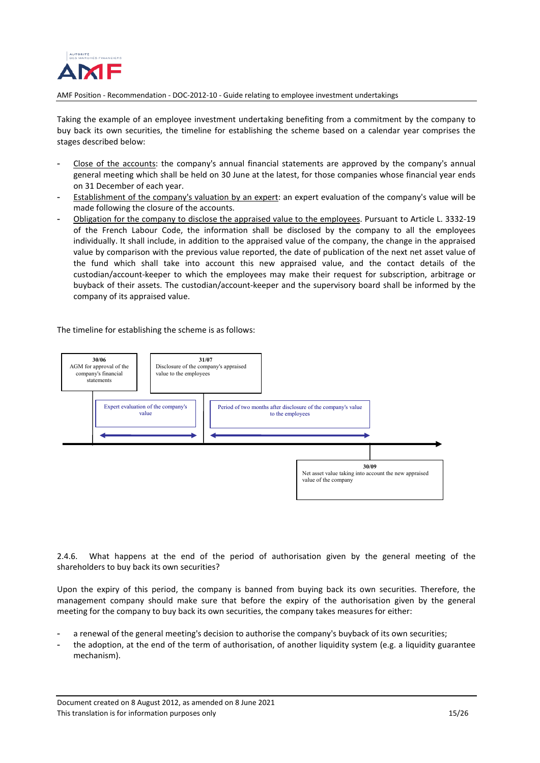

Taking the example of an employee investment undertaking benefiting from a commitment by the company to buy back its own securities, the timeline for establishing the scheme based on a calendar year comprises the stages described below:

- Close of the accounts: the company's annual financial statements are approved by the company's annual general meeting which shall be held on 30 June at the latest, for those companies whose financial year ends on 31 December of each year.
- Establishment of the company's valuation by an expert: an expert evaluation of the company's value will be made following the closure of the accounts.
- Obligation for the company to disclose the appraised value to the employees. Pursuant to Article L. 3332-19 of the French Labour Code, the information shall be disclosed by the company to all the employees individually. It shall include, in addition to the appraised value of the company, the change in the appraised value by comparison with the previous value reported, the date of publication of the next net asset value of the fund which shall take into account this new appraised value, and the contact details of the custodian/account-keeper to which the employees may make their request for subscription, arbitrage or buyback of their assets. The custodian/account-keeper and the supervisory board shall be informed by the company of its appraised value.

The timeline for establishing the scheme is as follows:



<span id="page-14-0"></span>2.4.6. What happens at the end of the period of authorisation given by the general meeting of the shareholders to buy back its own securities?

Upon the expiry of this period, the company is banned from buying back its own securities. Therefore, the management company should make sure that before the expiry of the authorisation given by the general meeting for the company to buy back its own securities, the company takes measures for either:

- a renewal of the general meeting's decision to authorise the company's buyback of its own securities;
- the adoption, at the end of the term of authorisation, of another liquidity system (e.g. a liquidity guarantee mechanism).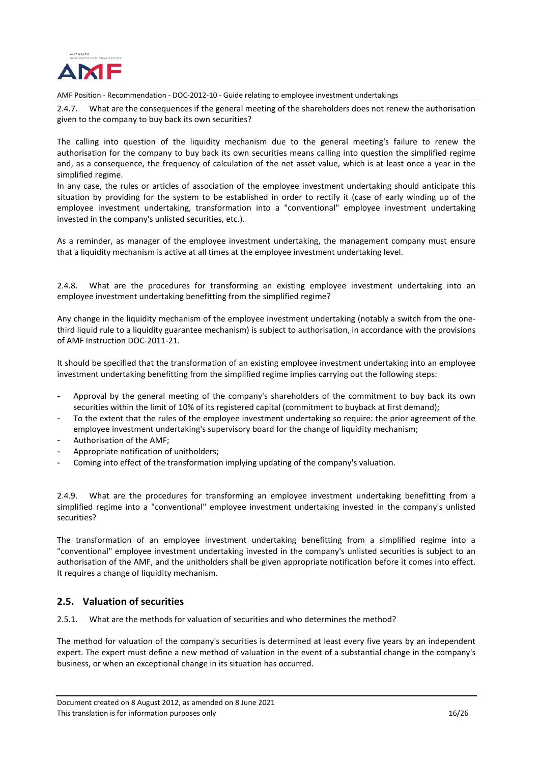

<span id="page-15-0"></span>2.4.7. What are the consequences if the general meeting of the shareholders does not renew the authorisation given to the company to buy back its own securities?

The calling into question of the liquidity mechanism due to the general meeting's failure to renew the authorisation for the company to buy back its own securities means calling into question the simplified regime and, as a consequence, the frequency of calculation of the net asset value, which is at least once a year in the simplified regime.

In any case, the rules or articles of association of the employee investment undertaking should anticipate this situation by providing for the system to be established in order to rectify it (case of early winding up of the employee investment undertaking, transformation into a "conventional" employee investment undertaking invested in the company's unlisted securities, etc.).

As a reminder, as manager of the employee investment undertaking, the management company must ensure that a liquidity mechanism is active at all times at the employee investment undertaking level.

<span id="page-15-1"></span>2.4.8. What are the procedures for transforming an existing employee investment undertaking into an employee investment undertaking benefitting from the simplified regime?

Any change in the liquidity mechanism of the employee investment undertaking (notably a switch from the onethird liquid rule to a liquidity guarantee mechanism) is subject to authorisation, in accordance with the provisions of AMF Instruction DOC-2011-21.

It should be specified that the transformation of an existing employee investment undertaking into an employee investment undertaking benefitting from the simplified regime implies carrying out the following steps:

- Approval by the general meeting of the company's shareholders of the commitment to buy back its own securities within the limit of 10% of its registered capital (commitment to buyback at first demand);
- To the extent that the rules of the employee investment undertaking so require: the prior agreement of the employee investment undertaking's supervisory board for the change of liquidity mechanism;
- Authorisation of the AMF;
- Appropriate notification of unitholders;
- Coming into effect of the transformation implying updating of the company's valuation.

<span id="page-15-2"></span>2.4.9. What are the procedures for transforming an employee investment undertaking benefitting from a simplified regime into a "conventional" employee investment undertaking invested in the company's unlisted securities?

The transformation of an employee investment undertaking benefitting from a simplified regime into a "conventional" employee investment undertaking invested in the company's unlisted securities is subject to an authorisation of the AMF, and the unitholders shall be given appropriate notification before it comes into effect. It requires a change of liquidity mechanism.

## <span id="page-15-3"></span>**2.5. Valuation of securities**

<span id="page-15-4"></span>2.5.1. What are the methods for valuation of securities and who determines the method?

The method for valuation of the company's securities is determined at least every five years by an independent expert. The expert must define a new method of valuation in the event of a substantial change in the company's business, or when an exceptional change in its situation has occurred.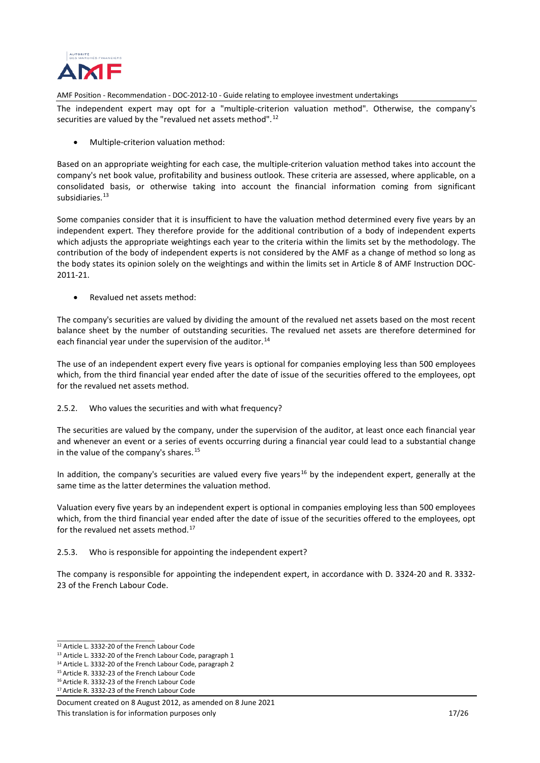

The independent expert may opt for a "multiple-criterion valuation method". Otherwise, the company's securities are valued by the "revalued net assets method".<sup>[12](#page-16-2)</sup>

• Multiple-criterion valuation method:

Based on an appropriate weighting for each case, the multiple-criterion valuation method takes into account the company's net book value, profitability and business outlook. These criteria are assessed, where applicable, on a consolidated basis, or otherwise taking into account the financial information coming from significant subsidiaries. [13](#page-16-3)

Some companies consider that it is insufficient to have the valuation method determined every five years by an independent expert. They therefore provide for the additional contribution of a body of independent experts which adjusts the appropriate weightings each year to the criteria within the limits set by the methodology. The contribution of the body of independent experts is not considered by the AMF as a change of method so long as the body states its opinion solely on the weightings and within the limits set in Article 8 of AMF Instruction DOC-2011-21.

• Revalued net assets method:

The company's securities are valued by dividing the amount of the revalued net assets based on the most recent balance sheet by the number of outstanding securities. The revalued net assets are therefore determined for each financial year under the supervision of the auditor.<sup>[14](#page-16-4)</sup>

The use of an independent expert every five years is optional for companies employing less than 500 employees which, from the third financial year ended after the date of issue of the securities offered to the employees, opt for the revalued net assets method.

<span id="page-16-0"></span>2.5.2. Who values the securities and with what frequency?

The securities are valued by the company, under the supervision of the auditor, at least once each financial year and whenever an event or a series of events occurring during a financial year could lead to a substantial change in the value of the company's shares.<sup>[15](#page-16-5)</sup>

In addition, the company's securities are valued every five years<sup>[16](#page-16-6)</sup> by the independent expert, generally at the same time as the latter determines the valuation method.

Valuation every five years by an independent expert is optional in companies employing less than 500 employees which, from the third financial year ended after the date of issue of the securities offered to the employees, opt for the revalued net assets method.<sup>[17](#page-16-7)</sup>

## <span id="page-16-1"></span>2.5.3. Who is responsible for appointing the independent expert?

The company is responsible for appointing the independent expert, in accordance with D. 3324-20 and R. 3332- 23 of the French Labour Code.

<span id="page-16-2"></span>\_\_\_\_\_\_\_\_\_\_\_\_\_\_\_\_\_\_\_\_\_\_\_\_\_\_\_

<span id="page-16-5"></span><sup>15</sup> Article R. 3332-23 of the French Labour Code

<sup>12</sup> Article L. 3332-20 of the French Labour Code

<span id="page-16-3"></span><sup>13</sup> Article L. 3332-20 of the French Labour Code, paragraph 1

<span id="page-16-4"></span><sup>14</sup> Article L. 3332-20 of the French Labour Code, paragraph 2

<span id="page-16-6"></span><sup>16</sup> Article R. 3332-23 of the French Labour Code <sup>17</sup> Article R. 3332-23 of the French Labour Code

<span id="page-16-7"></span>Document created on 8 August 2012, as amended on 8 June 2021 This translation is for information purposes only 17/26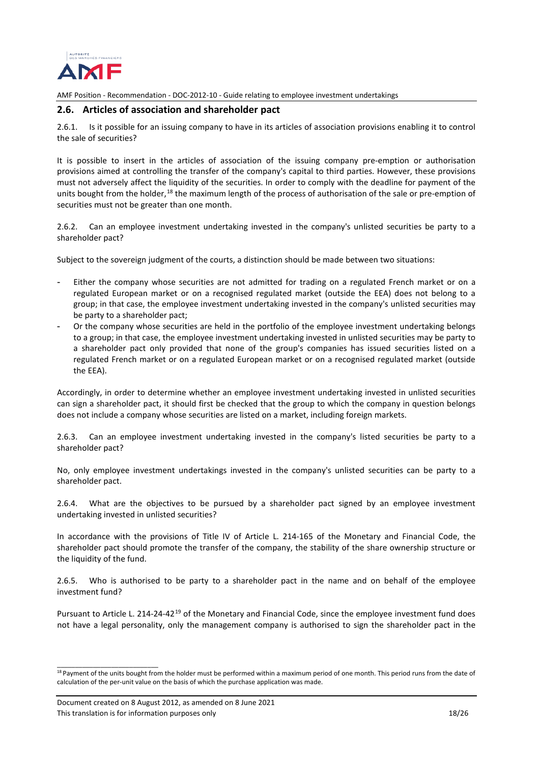

### <span id="page-17-0"></span>**2.6. Articles of association and shareholder pact**

<span id="page-17-1"></span>2.6.1. Is it possible for an issuing company to have in its articles of association provisions enabling it to control the sale of securities?

It is possible to insert in the articles of association of the issuing company pre-emption or authorisation provisions aimed at controlling the transfer of the company's capital to third parties. However, these provisions must not adversely affect the liquidity of the securities. In order to comply with the deadline for payment of the units bought from the holder,<sup>[18](#page-17-3)</sup> the maximum length of the process of authorisation of the sale or pre-emption of securities must not be greater than one month.

<span id="page-17-2"></span>2.6.2. Can an employee investment undertaking invested in the company's unlisted securities be party to a shareholder pact?

Subject to the sovereign judgment of the courts, a distinction should be made between two situations:

- Either the company whose securities are not admitted for trading on a regulated French market or on a regulated European market or on a recognised regulated market (outside the EEA) does not belong to a group; in that case, the employee investment undertaking invested in the company's unlisted securities may be party to a shareholder pact;
- Or the company whose securities are held in the portfolio of the employee investment undertaking belongs to a group; in that case, the employee investment undertaking invested in unlisted securities may be party to a shareholder pact only provided that none of the group's companies has issued securities listed on a regulated French market or on a regulated European market or on a recognised regulated market (outside the EEA).

Accordingly, in order to determine whether an employee investment undertaking invested in unlisted securities can sign a shareholder pact, it should first be checked that the group to which the company in question belongs does not include a company whose securities are listed on a market, including foreign markets.

2.6.3. Can an employee investment undertaking invested in the company's listed securities be party to a shareholder pact?

No, only employee investment undertakings invested in the company's unlisted securities can be party to a shareholder pact.

2.6.4. What are the objectives to be pursued by a shareholder pact signed by an employee investment undertaking invested in unlisted securities?

In accordance with the provisions of Title IV of Article L. 214-165 of the Monetary and Financial Code, the shareholder pact should promote the transfer of the company, the stability of the share ownership structure or the liquidity of the fund.

2.6.5. Who is authorised to be party to a shareholder pact in the name and on behalf of the employee investment fund?

Pursuant to Article L. 214-24-42<sup>[19](#page-17-4)</sup> of the Monetary and Financial Code, since the employee investment fund does not have a legal personality, only the management company is authorised to sign the shareholder pact in the

\_\_\_\_\_\_\_\_\_\_\_\_\_\_\_\_\_\_\_\_\_\_\_\_\_\_\_\_

<span id="page-17-4"></span><span id="page-17-3"></span><sup>&</sup>lt;sup>18</sup> Payment of the units bought from the holder must be performed within a maximum period of one month. This period runs from the date of calculation of the per-unit value on the basis of which the purchase application was made.

Document created on 8 August 2012, as amended on 8 June 2021 This translation is for information purposes only 18/26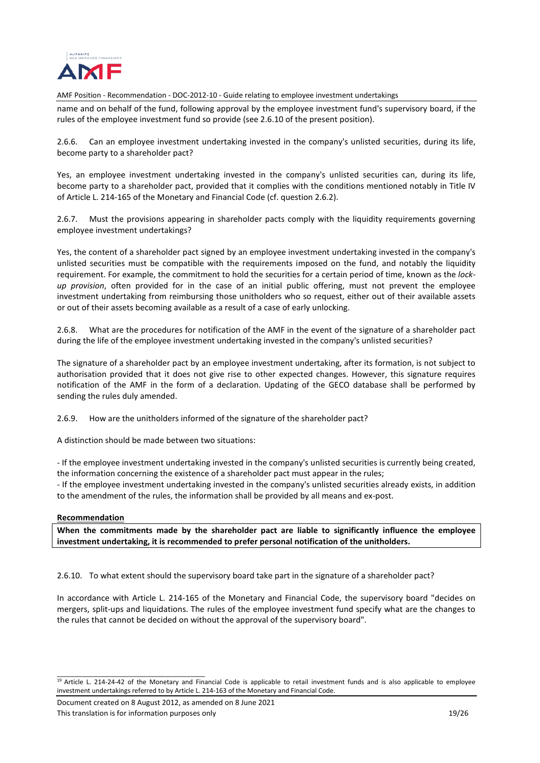

name and on behalf of the fund, following approval by the employee investment fund's supervisory board, if the rules of the employee investment fund so provide (see 2.6.10 of the present position).

2.6.6. Can an employee investment undertaking invested in the company's unlisted securities, during its life, become party to a shareholder pact?

Yes, an employee investment undertaking invested in the company's unlisted securities can, during its life, become party to a shareholder pact, provided that it complies with the conditions mentioned notably in Title IV of Article L. 214-165 of the Monetary and Financial Code (cf. question 2.6.2).

<span id="page-18-0"></span>2.6.7. Must the provisions appearing in shareholder pacts comply with the liquidity requirements governing employee investment undertakings?

Yes, the content of a shareholder pact signed by an employee investment undertaking invested in the company's unlisted securities must be compatible with the requirements imposed on the fund, and notably the liquidity requirement. For example, the commitment to hold the securities for a certain period of time, known as the *lockup provision*, often provided for in the case of an initial public offering, must not prevent the employee investment undertaking from reimbursing those unitholders who so request, either out of their available assets or out of their assets becoming available as a result of a case of early unlocking.

<span id="page-18-1"></span>2.6.8. What are the procedures for notification of the AMF in the event of the signature of a shareholder pact during the life of the employee investment undertaking invested in the company's unlisted securities?

The signature of a shareholder pact by an employee investment undertaking, after its formation, is not subject to authorisation provided that it does not give rise to other expected changes. However, this signature requires notification of the AMF in the form of a declaration. Updating of the GECO database shall be performed by sending the rules duly amended.

<span id="page-18-2"></span>2.6.9. How are the unitholders informed of the signature of the shareholder pact?

A distinction should be made between two situations:

- If the employee investment undertaking invested in the company's unlisted securities is currently being created, the information concerning the existence of a shareholder pact must appear in the rules;

- If the employee investment undertaking invested in the company's unlisted securities already exists, in addition to the amendment of the rules, the information shall be provided by all means and ex-post.

#### **Recommendation**

**When the commitments made by the shareholder pact are liable to significantly influence the employee investment undertaking, it is recommended to prefer personal notification of the unitholders.**

<span id="page-18-3"></span>2.6.10. To what extent should the supervisory board take part in the signature of a shareholder pact?

In accordance with Article L. 214-165 of the Monetary and Financial Code, the supervisory board "decides on mergers, split-ups and liquidations. The rules of the employee investment fund specify what are the changes to the rules that cannot be decided on without the approval of the supervisory board".

\_\_\_\_\_\_\_\_\_\_\_\_\_\_\_\_\_\_\_\_\_\_\_\_\_\_\_\_\_\_\_\_\_\_\_\_\_\_\_\_\_

 $19$  Article L. 214-24-42 of the Monetary and Financial Code is applicable to retail investment funds and is also applicable to employee investment undertakings referred to by Article L. 214-163 of the Monetary and Financial Code.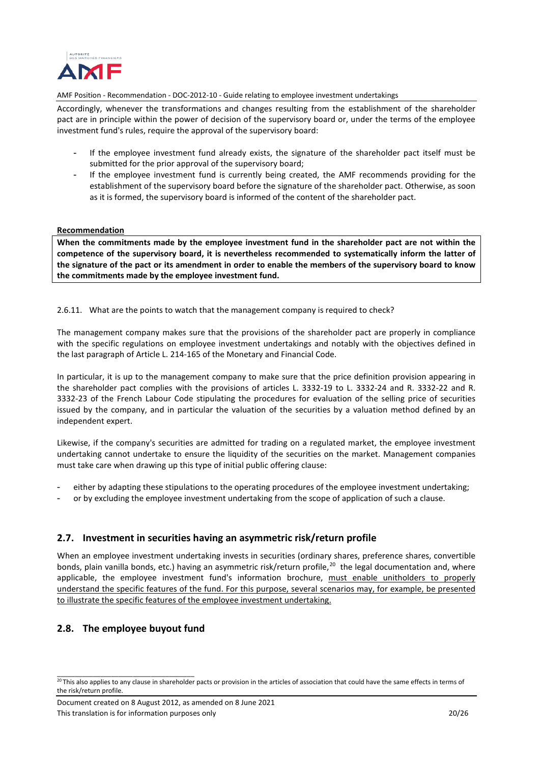

Accordingly, whenever the transformations and changes resulting from the establishment of the shareholder pact are in principle within the power of decision of the supervisory board or, under the terms of the employee investment fund's rules, require the approval of the supervisory board:

- If the employee investment fund already exists, the signature of the shareholder pact itself must be submitted for the prior approval of the supervisory board;
- If the employee investment fund is currently being created, the AMF recommends providing for the establishment of the supervisory board before the signature of the shareholder pact. Otherwise, as soon as it is formed, the supervisory board is informed of the content of the shareholder pact.

### **Recommendation**

**When the commitments made by the employee investment fund in the shareholder pact are not within the competence of the supervisory board, it is nevertheless recommended to systematically inform the latter of the signature of the pact or its amendment in order to enable the members of the supervisory board to know the commitments made by the employee investment fund.**

<span id="page-19-0"></span>2.6.11. What are the points to watch that the management company is required to check?

The management company makes sure that the provisions of the shareholder pact are properly in compliance with the specific regulations on employee investment undertakings and notably with the objectives defined in the last paragraph of Article L. 214-165 of the Monetary and Financial Code.

In particular, it is up to the management company to make sure that the price definition provision appearing in the shareholder pact complies with the provisions of articles L. 3332-19 to L. 3332-24 and R. 3332-22 and R. 3332-23 of the French Labour Code stipulating the procedures for evaluation of the selling price of securities issued by the company, and in particular the valuation of the securities by a valuation method defined by an independent expert.

Likewise, if the company's securities are admitted for trading on a regulated market, the employee investment undertaking cannot undertake to ensure the liquidity of the securities on the market. Management companies must take care when drawing up this type of initial public offering clause:

- either by adapting these stipulations to the operating procedures of the employee investment undertaking;
- or by excluding the employee investment undertaking from the scope of application of such a clause.

## <span id="page-19-1"></span>**2.7. Investment in securities having an asymmetric risk/return profile**

When an employee investment undertaking invests in securities (ordinary shares, preference shares, convertible bonds, plain vanilla bonds, etc.) having an asymmetric risk/return profile,<sup>20</sup> the legal documentation and, where applicable, the employee investment fund's information brochure, must enable unitholders to properly understand the specific features of the fund. For this purpose, several scenarios may, for example, be presented to illustrate the specific features of the employee investment undertaking.

## <span id="page-19-2"></span>**2.8. The employee buyout fund**

\_\_\_\_\_\_\_\_\_\_\_\_\_\_\_\_\_\_\_\_\_\_\_\_\_\_\_\_\_\_\_\_\_\_\_\_\_\_

<span id="page-19-3"></span> $^{20}$ This also applies to any clause in shareholder pacts or provision in the articles of association that could have the same effects in terms of the risk/return profile.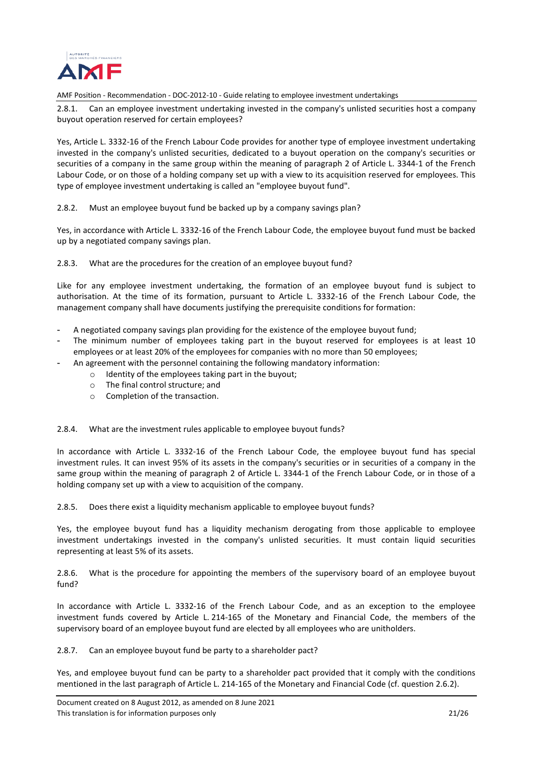

<span id="page-20-0"></span>2.8.1. Can an employee investment undertaking invested in the company's unlisted securities host a company buyout operation reserved for certain employees?

Yes, Article L. 3332-16 of the French Labour Code provides for another type of employee investment undertaking invested in the company's unlisted securities, dedicated to a buyout operation on the company's securities or securities of a company in the same group within the meaning of paragraph 2 of Article L. 3344-1 of the French Labour Code, or on those of a holding company set up with a view to its acquisition reserved for employees. This type of employee investment undertaking is called an "employee buyout fund".

<span id="page-20-1"></span>2.8.2. Must an employee buyout fund be backed up by a company savings plan?

Yes, in accordance with Article L. 3332-16 of the French Labour Code, the employee buyout fund must be backed up by a negotiated company savings plan.

<span id="page-20-2"></span>2.8.3. What are the procedures for the creation of an employee buyout fund?

Like for any employee investment undertaking, the formation of an employee buyout fund is subject to authorisation. At the time of its formation, pursuant to Article L. 3332-16 of the French Labour Code, the management company shall have documents justifying the prerequisite conditions for formation:

- A negotiated company savings plan providing for the existence of the employee buyout fund;
- The minimum number of employees taking part in the buyout reserved for employees is at least 10 employees or at least 20% of the employees for companies with no more than 50 employees;
- An agreement with the personnel containing the following mandatory information:
	- o Identity of the employees taking part in the buyout;
	- o The final control structure; and
	- o Completion of the transaction.

<span id="page-20-3"></span>2.8.4. What are the investment rules applicable to employee buyout funds?

In accordance with Article L. 3332-16 of the French Labour Code, the employee buyout fund has special investment rules. It can invest 95% of its assets in the company's securities or in securities of a company in the same group within the meaning of paragraph 2 of Article L. 3344-1 of the French Labour Code, or in those of a holding company set up with a view to acquisition of the company.

2.8.5. Does there exist a liquidity mechanism applicable to employee buyout funds?

Yes, the employee buyout fund has a liquidity mechanism derogating from those applicable to employee investment undertakings invested in the company's unlisted securities. It must contain liquid securities representing at least 5% of its assets.

<span id="page-20-4"></span>2.8.6. What is the procedure for appointing the members of the supervisory board of an employee buyout fund?

In accordance with Article L. 3332-16 of the French Labour Code, and as an exception to the employee investment funds covered by Article L. 214-165 of the Monetary and Financial Code, the members of the supervisory board of an employee buyout fund are elected by all employees who are unitholders.

<span id="page-20-5"></span>2.8.7. Can an employee buyout fund be party to a shareholder pact?

Yes, and employee buyout fund can be party to a shareholder pact provided that it comply with the conditions mentioned in the last paragraph of Article L. 214-165 of the Monetary and Financial Code (cf. question 2.6.2).

Document created on 8 August 2012, as amended on 8 June 2021 This translation is for information purposes only 21/26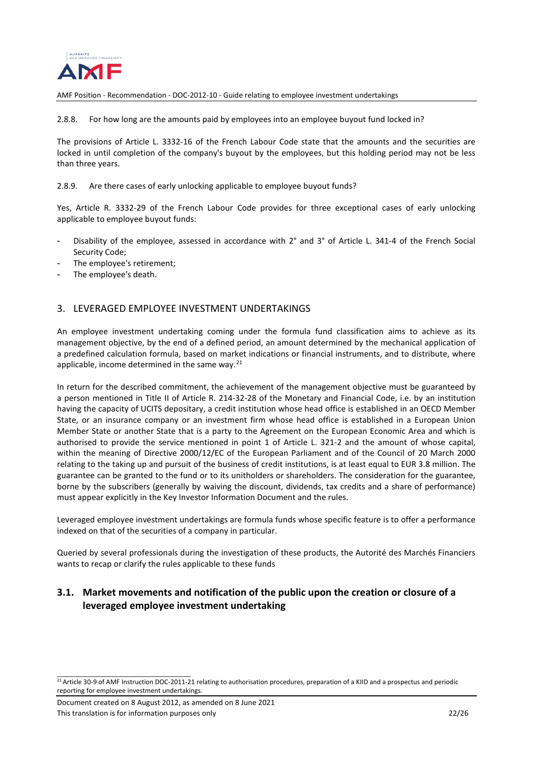

<span id="page-21-0"></span>2.8.8. For how long are the amounts paid by employees into an employee buyout fund locked in?

The provisions of Article L. 3332-16 of the French Labour Code state that the amounts and the securities are locked in until completion of the company's buyout by the employees, but this holding period may not be less than three years.

<span id="page-21-1"></span>2.8.9. Are there cases of early unlocking applicable to employee buyout funds?

Yes, Article R. 3332-29 of the French Labour Code provides for three exceptional cases of early unlocking applicable to employee buyout funds:

- Disability of the employee, assessed in accordance with 2° and 3° of Article L. 341-4 of the French Social Security Code;
- The employee's retirement;
- The employee's death.

## <span id="page-21-2"></span>3. LEVERAGED EMPLOYEE INVESTMENT UNDERTAKINGS

An employee investment undertaking coming under the formula fund classification aims to achieve as its management objective, by the end of a defined period, an amount determined by the mechanical application of a predefined calculation formula, based on market indications or financial instruments, and to distribute, where applicable, income determined in the same way.<sup>[21](#page-21-4)</sup>

In return for the described commitment, the achievement of the management objective must be guaranteed by a person mentioned in Title II of Article R. 214-32-28 of the Monetary and Financial Code, i.e. by an institution having the capacity of UCITS depositary, a credit institution whose head office is established in an OECD Member State, or an insurance company or an investment firm whose head office is established in a European Union Member State or another State that is a party to the Agreement on the European Economic Area and which is authorised to provide the service mentioned in point 1 of Article L. 321-2 and the amount of whose capital, within the meaning of Directive 2000/12/EC of the European Parliament and of the Council of 20 March 2000 relating to the taking up and pursuit of the business of credit institutions, is at least equal to EUR 3.8 million. The guarantee can be granted to the fund or to its unitholders or shareholders. The consideration for the guarantee, borne by the subscribers (generally by waiving the discount, dividends, tax credits and a share of performance) must appear explicitly in the Key Investor Information Document and the rules.

Leveraged employee investment undertakings are formula funds whose specific feature is to offer a performance indexed on that of the securities of a company in particular.

Queried by several professionals during the investigation of these products, the Autorité des Marchés Financiers wants to recap or clarify the rules applicable to these funds

## <span id="page-21-3"></span>**3.1. Market movements and notification of the public upon the creation or closure of a leveraged employee investment undertaking**

Document created on 8 August 2012, as amended on 8 June 2021 This translation is for information purposes only 22/26

\_\_\_\_\_\_\_\_\_\_\_\_\_\_\_\_\_\_\_\_\_\_\_\_\_\_\_\_\_\_\_\_\_\_\_\_\_

<span id="page-21-4"></span> $\frac{1}{21}$  Article 30-9 of AMF Instruction DOC-2011-21 relating to authorisation procedures, preparation of a KIID and a prospectus and periodic reporting for employee investment undertakings.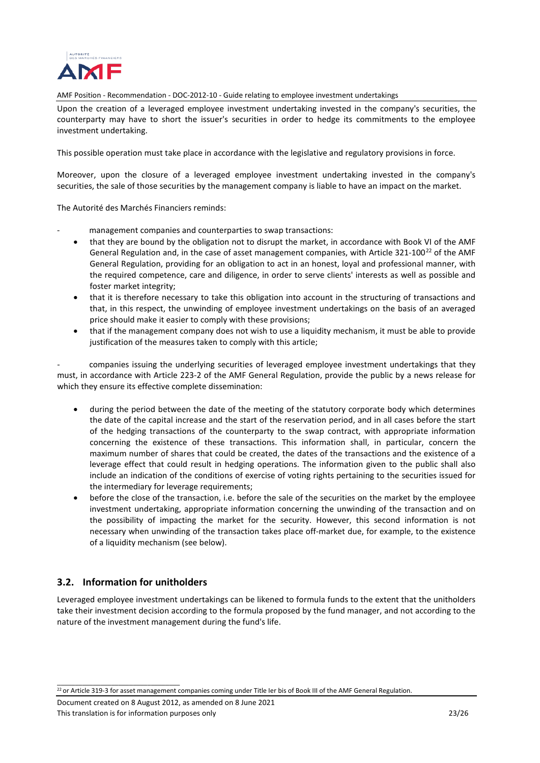

Upon the creation of a leveraged employee investment undertaking invested in the company's securities, the counterparty may have to short the issuer's securities in order to hedge its commitments to the employee investment undertaking.

This possible operation must take place in accordance with the legislative and regulatory provisions in force.

Moreover, upon the closure of a leveraged employee investment undertaking invested in the company's securities, the sale of those securities by the management company is liable to have an impact on the market.

The Autorité des Marchés Financiers reminds:

- management companies and counterparties to swap transactions:
	- that they are bound by the obligation not to disrupt the market, in accordance with Book VI of the AMF General Regulation and, in the case of asset management companies, with Article 321-100<sup>[22](#page-22-1)</sup> of the AMF General Regulation, providing for an obligation to act in an honest, loyal and professional manner, with the required competence, care and diligence, in order to serve clients' interests as well as possible and foster market integrity;
	- that it is therefore necessary to take this obligation into account in the structuring of transactions and that, in this respect, the unwinding of employee investment undertakings on the basis of an averaged price should make it easier to comply with these provisions;
	- that if the management company does not wish to use a liquidity mechanism, it must be able to provide justification of the measures taken to comply with this article;

companies issuing the underlying securities of leveraged employee investment undertakings that they must, in accordance with Article 223-2 of the AMF General Regulation, provide the public by a news release for which they ensure its effective complete dissemination:

- during the period between the date of the meeting of the statutory corporate body which determines the date of the capital increase and the start of the reservation period, and in all cases before the start of the hedging transactions of the counterparty to the swap contract, with appropriate information concerning the existence of these transactions. This information shall, in particular, concern the maximum number of shares that could be created, the dates of the transactions and the existence of a leverage effect that could result in hedging operations. The information given to the public shall also include an indication of the conditions of exercise of voting rights pertaining to the securities issued for the intermediary for leverage requirements;
- before the close of the transaction, i.e. before the sale of the securities on the market by the employee investment undertaking, appropriate information concerning the unwinding of the transaction and on the possibility of impacting the market for the security. However, this second information is not necessary when unwinding of the transaction takes place off-market due, for example, to the existence of a liquidity mechanism (see below).

## <span id="page-22-0"></span>**3.2. Information for unitholders**

\_\_\_\_\_\_\_\_\_\_\_\_\_\_\_\_\_\_\_\_\_\_\_\_\_\_\_\_\_\_\_\_\_\_

Leveraged employee investment undertakings can be likened to formula funds to the extent that the unitholders take their investment decision according to the formula proposed by the fund manager, and not according to the nature of the investment management during the fund's life.

<span id="page-22-1"></span> $22$  or Article 319-3 for asset management companies coming under Title Ier bis of Book III of the AMF General Regulation.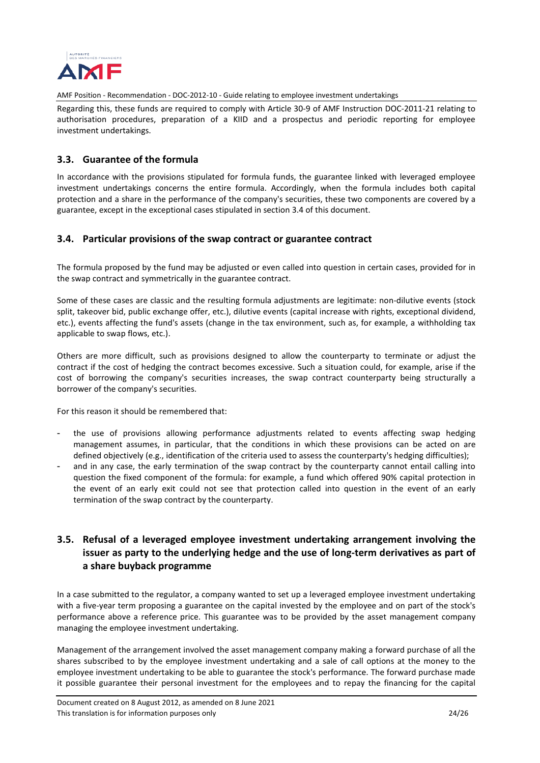

Regarding this, these funds are required to comply with Article 30-9 of AMF Instruction DOC-2011-21 relating to authorisation procedures, preparation of a KIID and a prospectus and periodic reporting for employee investment undertakings.

## <span id="page-23-0"></span>**3.3. Guarantee of the formula**

In accordance with the provisions stipulated for formula funds, the guarantee linked with leveraged employee investment undertakings concerns the entire formula. Accordingly, when the formula includes both capital protection and a share in the performance of the company's securities, these two components are covered by a guarantee, except in the exceptional cases stipulated in section 3.4 of this document.

## <span id="page-23-1"></span>**3.4. Particular provisions of the swap contract or guarantee contract**

The formula proposed by the fund may be adjusted or even called into question in certain cases, provided for in the swap contract and symmetrically in the guarantee contract.

Some of these cases are classic and the resulting formula adjustments are legitimate: non-dilutive events (stock split, takeover bid, public exchange offer, etc.), dilutive events (capital increase with rights, exceptional dividend, etc.), events affecting the fund's assets (change in the tax environment, such as, for example, a withholding tax applicable to swap flows, etc.).

Others are more difficult, such as provisions designed to allow the counterparty to terminate or adjust the contract if the cost of hedging the contract becomes excessive. Such a situation could, for example, arise if the cost of borrowing the company's securities increases, the swap contract counterparty being structurally a borrower of the company's securities.

For this reason it should be remembered that:

- the use of provisions allowing performance adjustments related to events affecting swap hedging management assumes, in particular, that the conditions in which these provisions can be acted on are defined objectively (e.g., identification of the criteria used to assess the counterparty's hedging difficulties);
- and in any case, the early termination of the swap contract by the counterparty cannot entail calling into question the fixed component of the formula: for example, a fund which offered 90% capital protection in the event of an early exit could not see that protection called into question in the event of an early termination of the swap contract by the counterparty.

## <span id="page-23-2"></span>**3.5. Refusal of a leveraged employee investment undertaking arrangement involving the issuer as party to the underlying hedge and the use of long-term derivatives as part of a share buyback programme**

In a case submitted to the regulator, a company wanted to set up a leveraged employee investment undertaking with a five-year term proposing a guarantee on the capital invested by the employee and on part of the stock's performance above a reference price. This guarantee was to be provided by the asset management company managing the employee investment undertaking.

Management of the arrangement involved the asset management company making a forward purchase of all the shares subscribed to by the employee investment undertaking and a sale of call options at the money to the employee investment undertaking to be able to guarantee the stock's performance. The forward purchase made it possible guarantee their personal investment for the employees and to repay the financing for the capital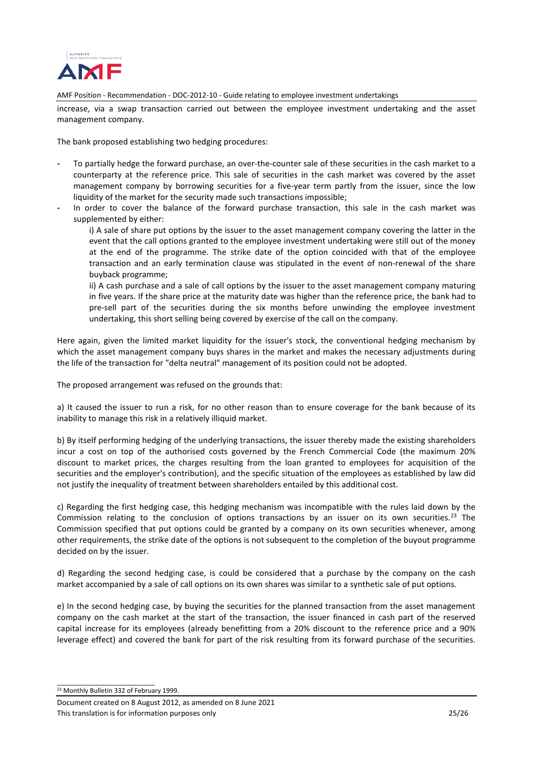

increase, via a swap transaction carried out between the employee investment undertaking and the asset management company.

The bank proposed establishing two hedging procedures:

- To partially hedge the forward purchase, an over-the-counter sale of these securities in the cash market to a counterparty at the reference price. This sale of securities in the cash market was covered by the asset management company by borrowing securities for a five-year term partly from the issuer, since the low liquidity of the market for the security made such transactions impossible;
- In order to cover the balance of the forward purchase transaction, this sale in the cash market was supplemented by either:
	- i) A sale of share put options by the issuer to the asset management company covering the latter in the event that the call options granted to the employee investment undertaking were still out of the money at the end of the programme. The strike date of the option coincided with that of the employee transaction and an early termination clause was stipulated in the event of non-renewal of the share buyback programme;
	- ii) A cash purchase and a sale of call options by the issuer to the asset management company maturing in five years. If the share price at the maturity date was higher than the reference price, the bank had to pre-sell part of the securities during the six months before unwinding the employee investment undertaking, this short selling being covered by exercise of the call on the company.

Here again, given the limited market liquidity for the issuer's stock, the conventional hedging mechanism by which the asset management company buys shares in the market and makes the necessary adjustments during the life of the transaction for "delta neutral" management of its position could not be adopted.

The proposed arrangement was refused on the grounds that:

a) It caused the issuer to run a risk, for no other reason than to ensure coverage for the bank because of its inability to manage this risk in a relatively illiquid market.

b) By itself performing hedging of the underlying transactions, the issuer thereby made the existing shareholders incur a cost on top of the authorised costs governed by the French Commercial Code (the maximum 20% discount to market prices, the charges resulting from the loan granted to employees for acquisition of the securities and the employer's contribution), and the specific situation of the employees as established by law did not justify the inequality of treatment between shareholders entailed by this additional cost.

c) Regarding the first hedging case, this hedging mechanism was incompatible with the rules laid down by the Commission relating to the conclusion of options transactions by an issuer on its own securities.<sup>[23](#page-24-0)</sup> The Commission specified that put options could be granted by a company on its own securities whenever, among other requirements, the strike date of the options is not subsequent to the completion of the buyout programme decided on by the issuer.

d) Regarding the second hedging case, is could be considered that a purchase by the company on the cash market accompanied by a sale of call options on its own shares was similar to a synthetic sale of put options.

e) In the second hedging case, by buying the securities for the planned transaction from the asset management company on the cash market at the start of the transaction, the issuer financed in cash part of the reserved capital increase for its employees (already benefitting from a 20% discount to the reference price and a 90% leverage effect) and covered the bank for part of the risk resulting from its forward purchase of the securities.

<span id="page-24-0"></span>23 Monthly Bulletin 332 of February 1999.

\_\_\_\_\_\_\_\_\_\_\_\_\_\_\_\_\_\_\_\_\_\_\_\_\_\_\_

Document created on 8 August 2012, as amended on 8 June 2021 This translation is for information purposes only 25/26